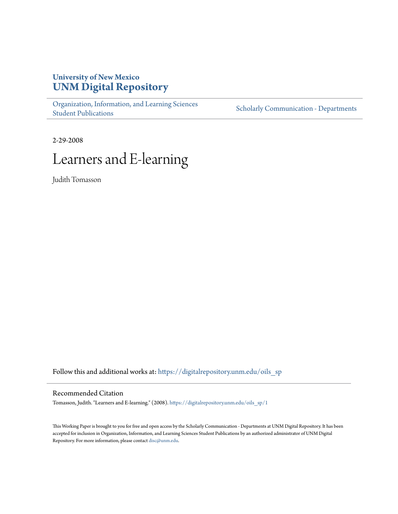# **University of New Mexico [UNM Digital Repository](https://digitalrepository.unm.edu?utm_source=digitalrepository.unm.edu%2Foils_sp%2F1&utm_medium=PDF&utm_campaign=PDFCoverPages)**

[Organization, Information, and Learning Sciences](https://digitalrepository.unm.edu/oils_sp?utm_source=digitalrepository.unm.edu%2Foils_sp%2F1&utm_medium=PDF&utm_campaign=PDFCoverPages) [Student Publications](https://digitalrepository.unm.edu/oils_sp?utm_source=digitalrepository.unm.edu%2Foils_sp%2F1&utm_medium=PDF&utm_campaign=PDFCoverPages)

[Scholarly Communication - Departments](https://digitalrepository.unm.edu/departments?utm_source=digitalrepository.unm.edu%2Foils_sp%2F1&utm_medium=PDF&utm_campaign=PDFCoverPages)

2-29-2008

# Learners and E-learning

Judith Tomasson

Follow this and additional works at: [https://digitalrepository.unm.edu/oils\\_sp](https://digitalrepository.unm.edu/oils_sp?utm_source=digitalrepository.unm.edu%2Foils_sp%2F1&utm_medium=PDF&utm_campaign=PDFCoverPages)

#### Recommended Citation

Tomasson, Judith. "Learners and E-learning." (2008). [https://digitalrepository.unm.edu/oils\\_sp/1](https://digitalrepository.unm.edu/oils_sp/1?utm_source=digitalrepository.unm.edu%2Foils_sp%2F1&utm_medium=PDF&utm_campaign=PDFCoverPages)

This Working Paper is brought to you for free and open access by the Scholarly Communication - Departments at UNM Digital Repository. It has been accepted for inclusion in Organization, Information, and Learning Sciences Student Publications by an authorized administrator of UNM Digital Repository. For more information, please contact [disc@unm.edu](mailto:disc@unm.edu).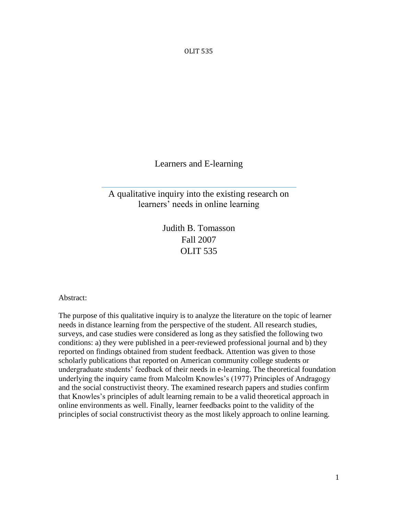OLIT 535

Learners and E-learning

A qualitative inquiry into the existing research on learners' needs in online learning

> Judith B. Tomasson Fall 2007 OLIT 535

### Abstract:

The purpose of this qualitative inquiry is to analyze the literature on the topic of learner needs in distance learning from the perspective of the student. All research studies, surveys, and case studies were considered as long as they satisfied the following two conditions: a) they were published in a peer-reviewed professional journal and b) they reported on findings obtained from student feedback. Attention was given to those scholarly publications that reported on American community college students or undergraduate students' feedback of their needs in e-learning. The theoretical foundation underlying the inquiry came from Malcolm Knowles's (1977) Principles of Andragogy and the social constructivist theory. The examined research papers and studies confirm that Knowles's principles of adult learning remain to be a valid theoretical approach in online environments as well. Finally, learner feedbacks point to the validity of the principles of social constructivist theory as the most likely approach to online learning.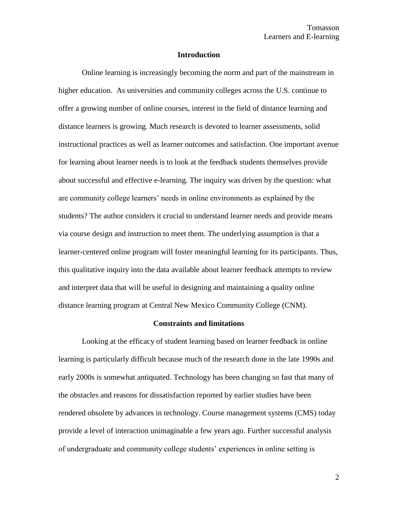#### **Introduction**

Online learning is increasingly becoming the norm and part of the mainstream in higher education. As universities and community colleges across the U.S. continue to offer a growing number of online courses, interest in the field of distance learning and distance learners is growing. Much research is devoted to learner assessments, solid instructional practices as well as learner outcomes and satisfaction. One important avenue for learning about learner needs is to look at the feedback students themselves provide about successful and effective e-learning. The inquiry was driven by the question: what are community college learners' needs in online environments as explained by the students? The author considers it crucial to understand learner needs and provide means via course design and instruction to meet them. The underlying assumption is that a learner-centered online program will foster meaningful learning for its participants. Thus, this qualitative inquiry into the data available about learner feedback attempts to review and interpret data that will be useful in designing and maintaining a quality online distance learning program at Central New Mexico Community College (CNM).

#### **Constraints and limitations**

Looking at the efficacy of student learning based on learner feedback in online learning is particularly difficult because much of the research done in the late 1990s and early 2000s is somewhat antiquated. Technology has been changing so fast that many of the obstacles and reasons for dissatisfaction reported by earlier studies have been rendered obsolete by advances in technology. Course management systems (CMS) today provide a level of interaction unimaginable a few years ago. Further successful analysis of undergraduate and community college students' experiences in online setting is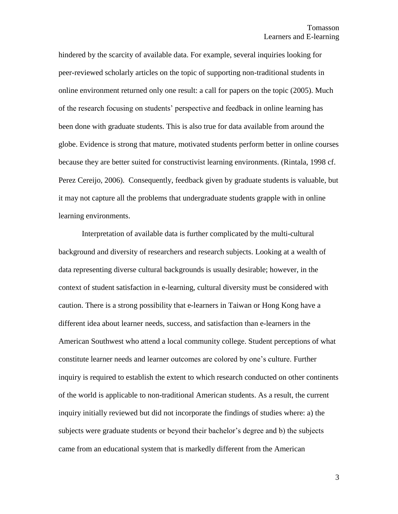hindered by the scarcity of available data. For example, several inquiries looking for peer-reviewed scholarly articles on the topic of supporting non-traditional students in online environment returned only one result: a call for papers on the topic (2005). Much of the research focusing on students' perspective and feedback in online learning has been done with graduate students. This is also true for data available from around the globe. Evidence is strong that mature, motivated students perform better in online courses because they are better suited for constructivist learning environments. (Rintala, 1998 cf. Perez Cereijo, 2006). Consequently, feedback given by graduate students is valuable, but it may not capture all the problems that undergraduate students grapple with in online learning environments.

Interpretation of available data is further complicated by the multi-cultural background and diversity of researchers and research subjects. Looking at a wealth of data representing diverse cultural backgrounds is usually desirable; however, in the context of student satisfaction in e-learning, cultural diversity must be considered with caution. There is a strong possibility that e-learners in Taiwan or Hong Kong have a different idea about learner needs, success, and satisfaction than e-learners in the American Southwest who attend a local community college. Student perceptions of what constitute learner needs and learner outcomes are colored by one's culture. Further inquiry is required to establish the extent to which research conducted on other continents of the world is applicable to non-traditional American students. As a result, the current inquiry initially reviewed but did not incorporate the findings of studies where: a) the subjects were graduate students or beyond their bachelor's degree and b) the subjects came from an educational system that is markedly different from the American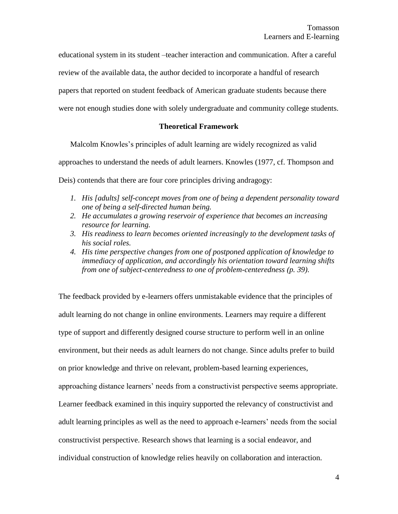educational system in its student –teacher interaction and communication. After a careful

review of the available data, the author decided to incorporate a handful of research

papers that reported on student feedback of American graduate students because there

were not enough studies done with solely undergraduate and community college students.

# **Theoretical Framework**

Malcolm Knowles's principles of adult learning are widely recognized as valid approaches to understand the needs of adult learners. Knowles (1977, cf. Thompson and Deis) contends that there are four core principles driving andragogy:

*1. His [adults] self-concept moves from one of being a dependent personality toward one of being a self-directed human being.*

- *2. He accumulates a growing reservoir of experience that becomes an increasing resource for learning.*
- *3. His readiness to learn becomes oriented increasingly to the development tasks of his social roles.*
- *4. His time perspective changes from one of postponed application of knowledge to immediacy of application, and accordingly his orientation toward learning shifts from one of subject-centeredness to one of problem-centeredness (p. 39).*

The feedback provided by e-learners offers unmistakable evidence that the principles of adult learning do not change in online environments. Learners may require a different type of support and differently designed course structure to perform well in an online environment, but their needs as adult learners do not change. Since adults prefer to build on prior knowledge and thrive on relevant, problem-based learning experiences, approaching distance learners' needs from a constructivist perspective seems appropriate. Learner feedback examined in this inquiry supported the relevancy of constructivist and adult learning principles as well as the need to approach e-learners' needs from the social constructivist perspective. Research shows that learning is a social endeavor, and individual construction of knowledge relies heavily on collaboration and interaction.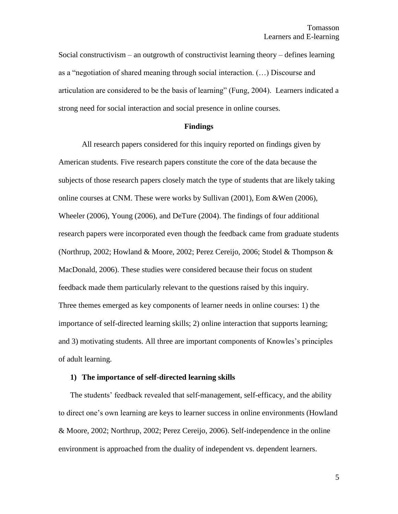Social constructivism – an outgrowth of constructivist learning theory – defines learning as a "negotiation of shared meaning through social interaction. (…) Discourse and articulation are considered to be the basis of learning" (Fung, 2004). Learners indicated a strong need for social interaction and social presence in online courses.

#### **Findings**

All research papers considered for this inquiry reported on findings given by American students. Five research papers constitute the core of the data because the subjects of those research papers closely match the type of students that are likely taking online courses at CNM. These were works by Sullivan (2001), Eom &Wen (2006), Wheeler (2006), Young (2006), and DeTure (2004). The findings of four additional research papers were incorporated even though the feedback came from graduate students (Northrup, 2002; Howland & Moore, 2002; Perez Cereijo, 2006; Stodel & Thompson & MacDonald, 2006). These studies were considered because their focus on student feedback made them particularly relevant to the questions raised by this inquiry. Three themes emerged as key components of learner needs in online courses: 1) the importance of self-directed learning skills; 2) online interaction that supports learning; and 3) motivating students. All three are important components of Knowles's principles of adult learning.

#### **1) The importance of self-directed learning skills**

The students' feedback revealed that self-management, self-efficacy, and the ability to direct one's own learning are keys to learner success in online environments (Howland & Moore, 2002; Northrup, 2002; Perez Cereijo, 2006). Self-independence in the online environment is approached from the duality of independent vs. dependent learners.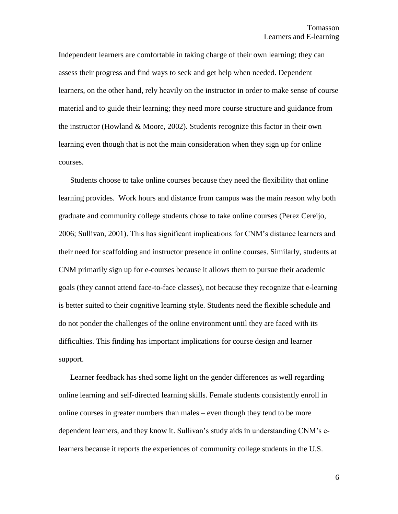Independent learners are comfortable in taking charge of their own learning; they can assess their progress and find ways to seek and get help when needed. Dependent learners, on the other hand, rely heavily on the instructor in order to make sense of course material and to guide their learning; they need more course structure and guidance from the instructor (Howland  $&$  Moore, 2002). Students recognize this factor in their own learning even though that is not the main consideration when they sign up for online courses.

Students choose to take online courses because they need the flexibility that online learning provides. Work hours and distance from campus was the main reason why both graduate and community college students chose to take online courses (Perez Cereijo, 2006; Sullivan, 2001). This has significant implications for CNM's distance learners and their need for scaffolding and instructor presence in online courses. Similarly, students at CNM primarily sign up for e-courses because it allows them to pursue their academic goals (they cannot attend face-to-face classes), not because they recognize that e-learning is better suited to their cognitive learning style. Students need the flexible schedule and do not ponder the challenges of the online environment until they are faced with its difficulties. This finding has important implications for course design and learner support.

Learner feedback has shed some light on the gender differences as well regarding online learning and self-directed learning skills. Female students consistently enroll in online courses in greater numbers than males – even though they tend to be more dependent learners, and they know it. Sullivan's study aids in understanding CNM's elearners because it reports the experiences of community college students in the U.S.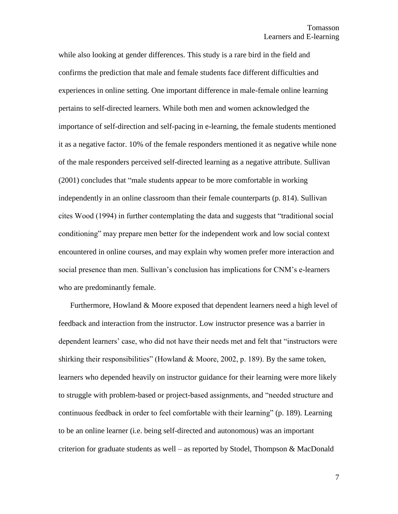while also looking at gender differences. This study is a rare bird in the field and confirms the prediction that male and female students face different difficulties and experiences in online setting. One important difference in male-female online learning pertains to self-directed learners. While both men and women acknowledged the importance of self-direction and self-pacing in e-learning, the female students mentioned it as a negative factor. 10% of the female responders mentioned it as negative while none of the male responders perceived self-directed learning as a negative attribute. Sullivan (2001) concludes that "male students appear to be more comfortable in working independently in an online classroom than their female counterparts (p. 814). Sullivan cites Wood (1994) in further contemplating the data and suggests that "traditional social conditioning" may prepare men better for the independent work and low social context encountered in online courses, and may explain why women prefer more interaction and social presence than men. Sullivan's conclusion has implications for CNM's e-learners who are predominantly female.

Furthermore, Howland & Moore exposed that dependent learners need a high level of feedback and interaction from the instructor. Low instructor presence was a barrier in dependent learners' case, who did not have their needs met and felt that "instructors were shirking their responsibilities" (Howland  $& Moore, 2002$ , p. 189). By the same token, learners who depended heavily on instructor guidance for their learning were more likely to struggle with problem-based or project-based assignments, and "needed structure and continuous feedback in order to feel comfortable with their learning" (p. 189). Learning to be an online learner (i.e. being self-directed and autonomous) was an important criterion for graduate students as well – as reported by Stodel, Thompson & MacDonald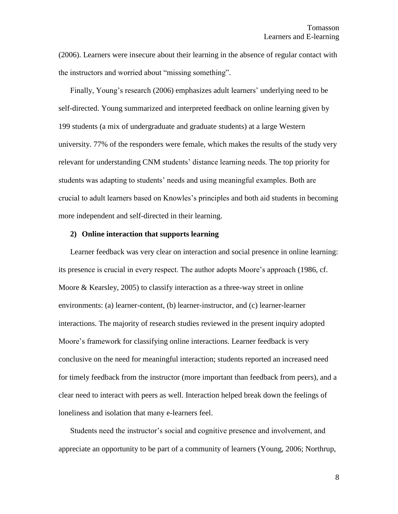(2006). Learners were insecure about their learning in the absence of regular contact with the instructors and worried about "missing something".

Finally, Young's research (2006) emphasizes adult learners' underlying need to be self-directed. Young summarized and interpreted feedback on online learning given by 199 students (a mix of undergraduate and graduate students) at a large Western university. 77% of the responders were female, which makes the results of the study very relevant for understanding CNM students' distance learning needs. The top priority for students was adapting to students' needs and using meaningful examples. Both are crucial to adult learners based on Knowles's principles and both aid students in becoming more independent and self-directed in their learning.

### **2) Online interaction that supports learning**

Learner feedback was very clear on interaction and social presence in online learning: its presence is crucial in every respect. The author adopts Moore's approach (1986, cf. Moore & Kearsley, 2005) to classify interaction as a three-way street in online environments: (a) learner-content, (b) learner-instructor, and (c) learner-learner interactions. The majority of research studies reviewed in the present inquiry adopted Moore's framework for classifying online interactions. Learner feedback is very conclusive on the need for meaningful interaction; students reported an increased need for timely feedback from the instructor (more important than feedback from peers), and a clear need to interact with peers as well. Interaction helped break down the feelings of loneliness and isolation that many e-learners feel.

Students need the instructor's social and cognitive presence and involvement, and appreciate an opportunity to be part of a community of learners (Young, 2006; Northrup,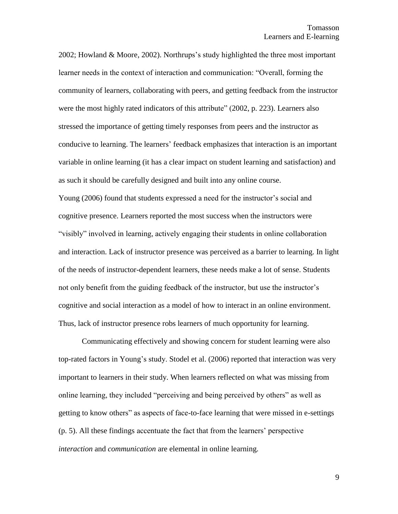2002; Howland & Moore, 2002). Northrups's study highlighted the three most important learner needs in the context of interaction and communication: "Overall, forming the community of learners, collaborating with peers, and getting feedback from the instructor were the most highly rated indicators of this attribute" (2002, p. 223). Learners also stressed the importance of getting timely responses from peers and the instructor as conducive to learning. The learners' feedback emphasizes that interaction is an important variable in online learning (it has a clear impact on student learning and satisfaction) and as such it should be carefully designed and built into any online course.

Young (2006) found that students expressed a need for the instructor's social and cognitive presence. Learners reported the most success when the instructors were "visibly" involved in learning, actively engaging their students in online collaboration and interaction. Lack of instructor presence was perceived as a barrier to learning. In light of the needs of instructor-dependent learners, these needs make a lot of sense. Students not only benefit from the guiding feedback of the instructor, but use the instructor's cognitive and social interaction as a model of how to interact in an online environment. Thus, lack of instructor presence robs learners of much opportunity for learning.

 Communicating effectively and showing concern for student learning were also top-rated factors in Young's study. Stodel et al. (2006) reported that interaction was very important to learners in their study. When learners reflected on what was missing from online learning, they included "perceiving and being perceived by others" as well as getting to know others" as aspects of face-to-face learning that were missed in e-settings (p. 5). All these findings accentuate the fact that from the learners' perspective *interaction* and *communication* are elemental in online learning.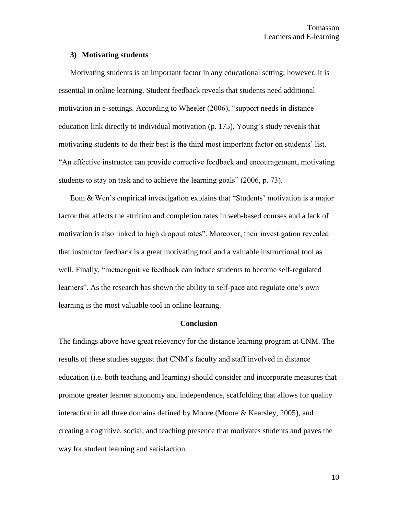#### **3) Motivating students**

Motivating students is an important factor in any educational setting; however, it is essential in online learning. Student feedback reveals that students need additional motivation in e-settings. According to Wheeler (2006), "support needs in distance education link directly to individual motivation (p. 175). Young's study reveals that motivating students to do their best is the third most important factor on students' list. "An effective instructor can provide corrective feedback and encouragement, motivating students to stay on task and to achieve the learning goals" (2006, p. 73).

Eom & Wen's empirical investigation explains that "Students' motivation is a major factor that affects the attrition and completion rates in web-based courses and a lack of motivation is also linked to high dropout rates". Moreover, their investigation revealed that instructor feedback is a great motivating tool and a valuable instructional tool as well. Finally, "metacognitive feedback can induce students to become self-regulated learners". As the research has shown the ability to self-pace and regulate one's own learning is the most valuable tool in online learning.

#### **Conclusion**

The findings above have great relevancy for the distance learning program at CNM. The results of these studies suggest that CNM's faculty and staff involved in distance education (i.e. both teaching and learning) should consider and incorporate measures that promote greater learner autonomy and independence, scaffolding that allows for quality interaction in all three domains defined by Moore (Moore & Kearsley, 2005), and creating a cognitive, social, and teaching presence that motivates students and paves the way for student learning and satisfaction.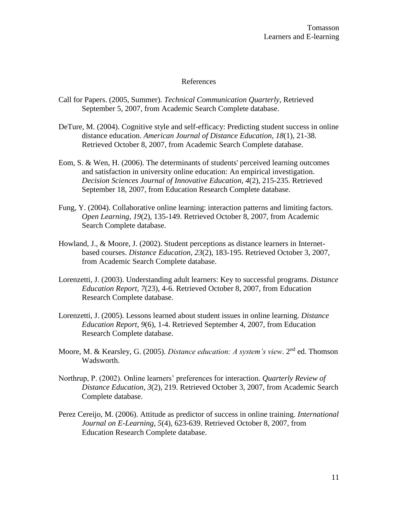## References

- Call for Papers. (2005, Summer). *Technical Communication Quarterly*, Retrieved September 5, 2007, from Academic Search Complete database.
- DeTure, M. (2004). Cognitive style and self-efficacy: Predicting student success in online distance education. *American Journal of Distance Education*, *18*(1), 21-38. Retrieved October 8, 2007, from Academic Search Complete database.
- Eom, S. & Wen, H. (2006). The determinants of students' perceived learning outcomes and satisfaction in university online education: An empirical investigation. *Decision Sciences Journal of Innovative Education*, *4*(2), 215-235. Retrieved September 18, 2007, from Education Research Complete database.
- Fung, Y. (2004). Collaborative online learning: interaction patterns and limiting factors. *Open Learning*, *19*(2), 135-149. Retrieved October 8, 2007, from Academic Search Complete database.
- Howland, J., & Moore, J. (2002). Student perceptions as distance learners in Internetbased courses. *Distance Education*, *23*(2), 183-195. Retrieved October 3, 2007, from Academic Search Complete database.
- Lorenzetti, J. (2003). Understanding adult learners: Key to successful programs. *Distance Education Report*, *7*(23), 4-6. Retrieved October 8, 2007, from Education Research Complete database.
- Lorenzetti, J. (2005). Lessons learned about student issues in online learning. *Distance Education Report*, *9*(6), 1-4. Retrieved September 4, 2007, from Education Research Complete database.
- Moore, M. & Kearsley, G. (2005). *Distance education: A system's view*. 2nd ed. Thomson Wadsworth.
- Northrup, P. (2002). Online learners' preferences for interaction. *Quarterly Review of Distance Education*, *3*(2), 219. Retrieved October 3, 2007, from Academic Search Complete database.
- Perez Cereijo, M. (2006). Attitude as predictor of success in online training. *International Journal on E-Learning*, *5*(4), 623-639. Retrieved October 8, 2007, from Education Research Complete database.